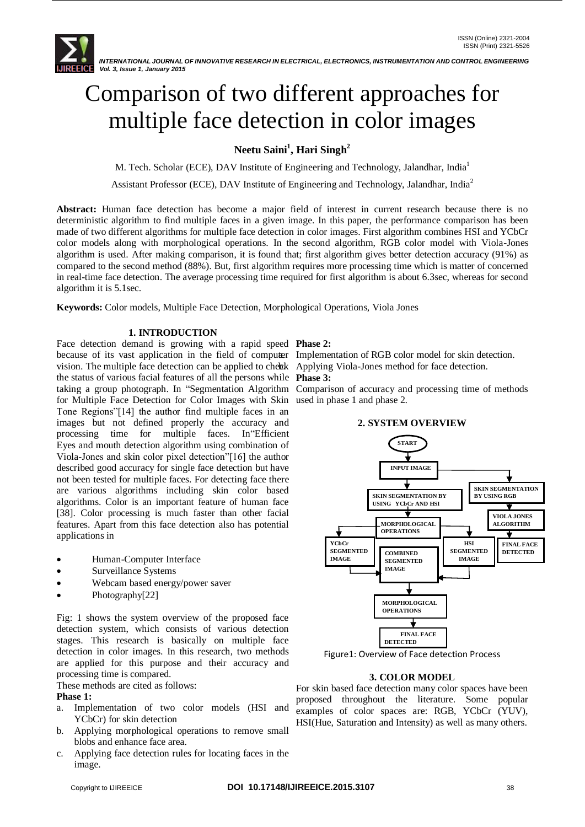# Comparison of two different approaches for multiple face detection in color images

# **Neetu Saini<sup>1</sup> , Hari Singh<sup>2</sup>**

M. Tech. Scholar (ECE), DAV Institute of Engineering and Technology, Jalandhar, India<sup>1</sup>

Assistant Professor (ECE), DAV Institute of Engineering and Technology, Jalandhar, India<sup>2</sup>

**Abstract:** Human face detection has become a major field of interest in current research because there is no deterministic algorithm to find multiple faces in a given image. In this paper, the performance comparison has been made of two different algorithms for multiple face detection in color images. First algorithm combines HSI and YCbCr color models along with morphological operations. In the second algorithm, RGB color model with Viola-Jones algorithm is used. After making comparison, it is found that; first algorithm gives better detection accuracy (91%) as compared to the second method (88%). But, first algorithm requires more processing time which is matter of concerned in real-time face detection. The average processing time required for first algorithm is about 6.3sec, whereas for second algorithm it is 5.1sec.

**Keywords:** Color models, Multiple Face Detection, Morphological Operations, Viola Jones

### **1. INTRODUCTION**

Face detection demand is growing with a rapid speed **Phase 2:** because of its vast application in the field of computer Implementation of RGB color model for skin detection. vision. The multiple face detection can be applied to cheak Applying Viola-Jones method for face detection. the status of various facial features of all the persons while **Phase 3:** taking a group photograph. In "Segmentation Algorithm Comparison of accuracy and processing time of methods for Multiple Face Detection for Color Images with Skin used in phase 1 and phase 2. Tone Regions"[14] the author find multiple faces in an images but not defined properly the accuracy and processing time for multiple faces. In"Efficient Eyes and mouth detection algorithm using combination of Viola-Jones and skin color pixel detection"[16] the author described good accuracy for single face detection but have not been tested for multiple faces. For detecting face there are various algorithms including skin color based algorithms. Color is an important feature of human face [38]. Color processing is much faster than other facial features. Apart from this face detection also has potential applications in

- Human-Computer Interface
- Surveillance Systems
- Webcam based energy/power saver
- Photography[22]

Fig: 1 shows the system overview of the proposed face detection system, which consists of various detection stages. This research is basically on multiple face detection in color images. In this research, two methods are applied for this purpose and their accuracy and processing time is compared.

These methods are cited as follows:

#### **Phase 1:**

- a. Implementation of two color models (HSI and YCbCr) for skin detection
- b. Applying morphological operations to remove small blobs and enhance face area.
- c. Applying face detection rules for locating faces in the image.

#### **2. SYSTEM OVERVIEW**



Figure1: Overview of Face detection Process

#### **3. COLOR MODEL**

For skin based face detection many color spaces have been proposed throughout the literature. Some popular examples of color spaces are: RGB, YCbCr (YUV), HSI(Hue, Saturation and Intensity) as well as many others.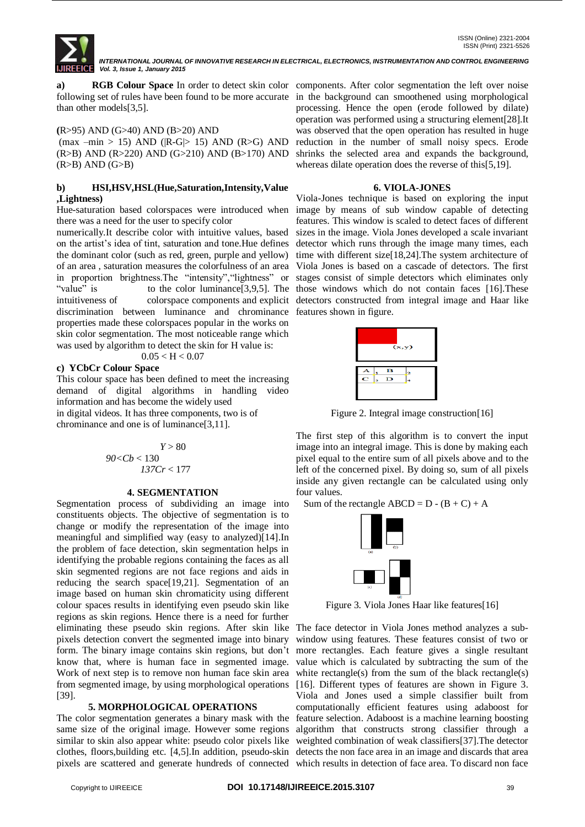**a) RGB Colour Space** In order to detect skin color components. After color segmentation the left over noise following set of rules have been found to be more accurate in the background can smoothened using morphological than other models[3,5].

#### **(**R>95) AND (G>40) AND (B>20) AND

 $(max -min > 15)$  AND  $(|R-G| > 15)$  AND  $(R>G)$  AND (R>B) AND (R>220) AND (G>210) AND (B>170) AND  $(R>B)$  AND  $(G>B)$ 

#### **b) HSI,HSV,HSL(Hue,Saturation,Intensity,Value ,Lightness)**

Hue-saturation based colorspaces were introduced when there was a need for the user to specify color

numerically.It describe color with intuitive values, based on the artist's idea of tint, saturation and tone.Hue defines the dominant color (such as red, green, purple and yellow) of an area , saturation measures the colorfulness of an area in proportion brightness.The "intensity","lightness" or "value" is to the color luminance [3,9,5]. The those windows which do not contain faces [16]. These intuitiveness of colorspace components and explicit detectors constructed from integral image and Haar like discrimination between luminance and chrominance features shown in figure. properties made these colorspaces popular in the works on skin color segmentation. The most noticeable range which was used by algorithm to detect the skin for H value is:

$$
0.05 < H < 0.07
$$

#### **c) YCbCr Colour Space**

This colour space has been defined to meet the increasing demand of digital algorithms in handling video information and has become the widely used

in digital videos. It has three components, two is of chrominance and one is of luminance[3,11].

$$
Y > 80
$$
  

$$
90 < Cb < 130
$$
  

$$
137Cr < 177
$$

#### **4. SEGMENTATION**

Segmentation process of subdividing an image into constituents objects. The objective of segmentation is to change or modify the representation of the image into meaningful and simplified way (easy to analyzed)[14].In the problem of face detection, skin segmentation helps in identifying the probable regions containing the faces as all skin segmented regions are not face regions and aids in reducing the search space[19,21]. Segmentation of an image based on human skin chromaticity using different colour spaces results in identifying even pseudo skin like regions as skin regions. Hence there is a need for further eliminating these pseudo skin regions. After skin like The face detector in Viola Jones method analyzes a subpixels detection convert the segmented image into binary form. The binary image contains skin regions, but don't more rectangles. Each feature gives a single resultant know that, where is human face in segmented image. value which is calculated by subtracting the sum of the Work of next step is to remove non human face skin area white rectangle(s) from the sum of the black rectangle(s) from segmented image, by using morphological operations [16]. Different types of features are shown in Figure 3. [39].

#### **5. MORPHOLOGICAL OPERATIONS**

The color segmentation generates a binary mask with the feature selection. Adaboost is a machine learning boosting same size of the original image. However some regions similar to skin also appear white: pseudo color pixels like weighted combination of weak classifiers[37]. The detector clothes, floors,building etc. [4,5].In addition, pseudo-skin detects the non face area in an image and discards that area pixels are scattered and generate hundreds of connected which results in detection of face area. To discard non face

processing. Hence the open (erode followed by dilate) operation was performed using a structuring element[28].It was observed that the open operation has resulted in huge reduction in the number of small noisy specs. Erode shrinks the selected area and expands the background, whereas dilate operation does the reverse of this[5,19].

#### **6. VIOLA-JONES**

Viola-Jones technique is based on exploring the input image by means of sub window capable of detecting features. This window is scaled to detect faces of different sizes in the image. Viola Jones developed a scale invariant detector which runs through the image many times, each time with different size[18,24].The system architecture of Viola Jones is based on a cascade of detectors. The first stages consist of simple detectors which eliminates only



Figure 2. Integral image construction[16]

The first step of this algorithm is to convert the input image into an integral image. This is done by making each pixel equal to the entire sum of all pixels above and to the left of the concerned pixel. By doing so, sum of all pixels inside any given rectangle can be calculated using only four values.

Sum of the rectangle  $ABCD = D - (B + C) + A$ 



Figure 3. Viola Jones Haar like features[16]

window using features. These features consist of two or Viola and Jones used a simple classifier built from computationally efficient features using adaboost for algorithm that constructs strong classifier through a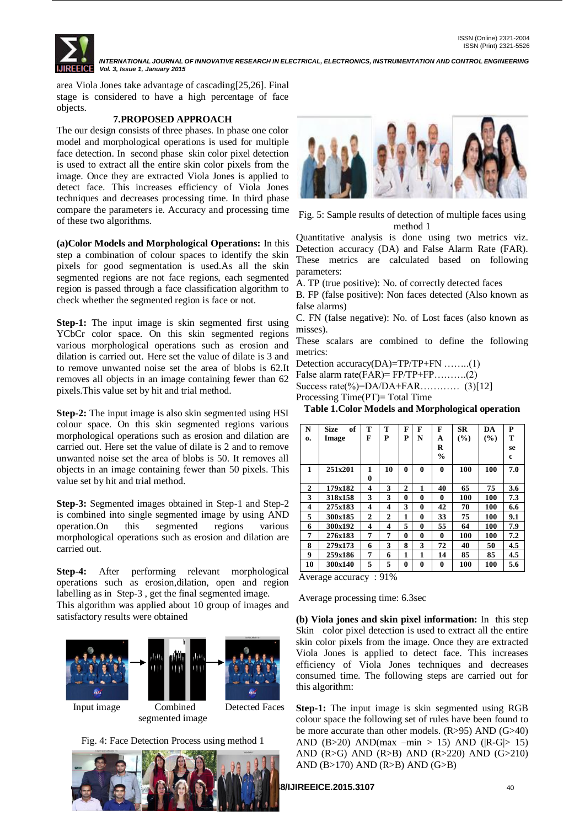

area Viola Jones take advantage of cascading[25,26]. Final stage is considered to have a high percentage of face objects.

#### **7.PROPOSED APPROACH**

The our design consists of three phases. In phase one color model and morphological operations is used for multiple face detection. In second phase skin color pixel detection is used to extract all the entire skin color pixels from the image. Once they are extracted Viola Jones is applied to detect face. This increases efficiency of Viola Jones techniques and decreases processing time. In third phase compare the parameters ie. Accuracy and processing time of these two algorithms.

**(a)Color Models and Morphological Operations:** In this step a combination of colour spaces to identify the skin pixels for good segmentation is used.As all the skin segmented regions are not face regions, each segmented region is passed through a face classification algorithm to check whether the segmented region is face or not.

**Step-1:** The input image is skin segmented first using YCbCr color space. On this skin segmented regions various morphological operations such as erosion and dilation is carried out. Here set the value of dilate is 3 and to remove unwanted noise set the area of blobs is 62.It removes all objects in an image containing fewer than 62 pixels.This value set by hit and trial method.

**Step-2:** The input image is also skin segmented using HSI colour space. On this skin segmented regions various morphological operations such as erosion and dilation are carried out. Here set the value of dilate is 2 and to remove unwanted noise set the area of blobs is 50. It removes all objects in an image containing fewer than 50 pixels. This value set by hit and trial method.

**Step-3:** Segmented images obtained in Step-1 and Step-2 is combined into single segmented image by using AND operation.On this segmented regions various morphological operations such as erosion and dilation are carried out.

**Step-4:** After performing relevant morphological operations such as erosion,dilation, open and region labelling as in Step-3 , get the final segmented image. This algorithm was applied about 10 group of images and satisfactory results were obtained



Fig. 4: Face Detection Process using method 1





Fig. 5: Sample results of detection of multiple faces using method 1

Quantitative analysis is done using two metrics viz. Detection accuracy (DA) and False Alarm Rate (FAR). These metrics are calculated based on following parameters:

A. TP (true positive): No. of correctly detected faces

B. FP (false positive): Non faces detected (Also known as false alarms)

C. FN (false negative): No. of Lost faces (also known as misses).

These scalars are combined to define the following metrics:

Detection accuracy(DA)=TP/TP+FN ........(1)

False alarm rate(FAR)=  $FP/TP+FP$ ………..(2)

Success rate(%)= $DA/DA+FAR$ ………… (3)[12]

Processing Time(PT)= Total Time

**Table 1.Color Models and Morphological operation**

| N  | of<br><b>Size</b> | т            | т              | F              | F        | F             | <b>SR</b> | DA  | P   |
|----|-------------------|--------------|----------------|----------------|----------|---------------|-----------|-----|-----|
| 0. | Image             | F            | P              | P              | N        | A             | (%)       | (%) | т   |
|    |                   |              |                |                |          | R             |           |     | se  |
|    |                   |              |                |                |          | $\frac{0}{0}$ |           |     | c   |
| 1  | 251x201           | 1            | 10             | $\bf{0}$       | 0        | $\mathbf{0}$  | 100       | 100 | 7.0 |
|    |                   | 0            |                |                |          |               |           |     |     |
| 2  | 179x182           | 4            | 3              | $\overline{2}$ | 1        | 40            | 65        | 75  | 3.6 |
| 3  | 318x158           | 3            | 3              | $\bf{0}$       | $\bf{0}$ | $\bf{0}$      | 100       | 100 | 7.3 |
| 4  | 275x183           | 4            | 4              | 3              | $\bf{0}$ | 42            | 70        | 100 | 6.6 |
| 5  | 300x185           | $\mathbf{2}$ | $\overline{2}$ | 1              | $\bf{0}$ | 33            | 75        | 100 | 9.1 |
| 6  | 300x192           | 4            | 4              | 5              | $\bf{0}$ | 55            | 64        | 100 | 7.9 |
| 7  | 276x183           | 7            | 7              | $\bf{0}$       | $\bf{0}$ | $\mathbf{0}$  | 100       | 100 | 7.2 |
| 8  | 279x173           | 6            | 3              | 8              | 3        | 72            | 40        | 50  | 4.5 |
| 9  | 259x186           | 7            | 6              | 1              | 1        | 14            | 85        | 85  | 4.5 |
| 10 | 300x140           | 5            | 5              | 0              | $\bf{0}$ | 0             | 100       | 100 | 5.6 |

Average accuracy : 91%

Average processing time: 6.3sec

**(b) Viola jones and skin pixel information:** In this step Skin color pixel detection is used to extract all the entire skin color pixels from the image. Once they are extracted Viola Jones is applied to detect face. This increases efficiency of Viola Jones techniques and decreases consumed time. The following steps are carried out for this algorithm:

**Step-1:** The input image is skin segmented using RGB colour space the following set of rules have been found to be more accurate than other models. (R>95) AND (G>40) AND (B>20) AND(max –min > 15) AND (|R-G|> 15) AND (R>G) AND (R>B) AND (R>220) AND (G>210) AND (B>170) AND (R>B) AND (G>B)

## **COPYRIGHT TO IJIREEICE.2015.3107** 40.17148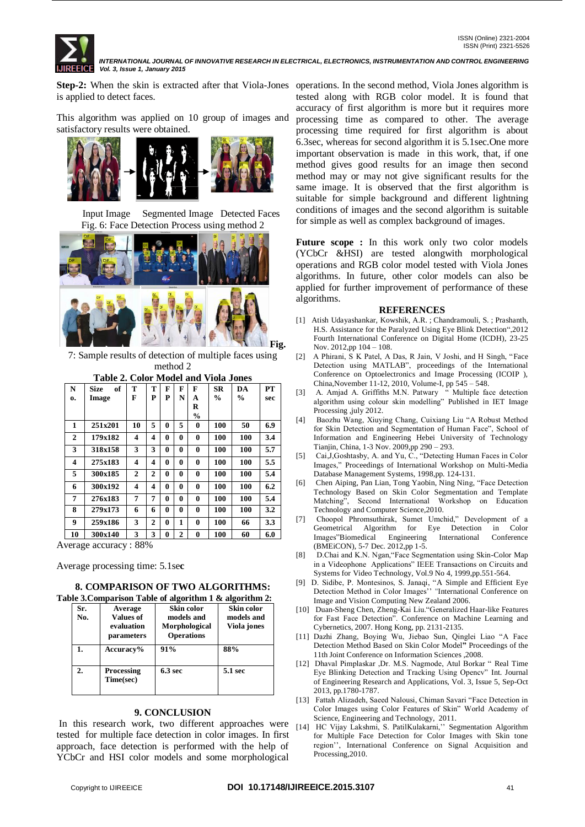

Step-2: When the skin is extracted after that Viola-Jones operations. In the second method, Viola Jones algorithm is is applied to detect faces.

This algorithm was applied on 10 group of images and satisfactory results were obtained.



 Input Image Segmented Image Detected Faces Fig. 6: Face Detection Process using method 2





7: Sample results of detection of multiple faces using method 2

| Table 2. Color Model and Viola Jones |                   |              |   |          |                |               |               |               |     |
|--------------------------------------|-------------------|--------------|---|----------|----------------|---------------|---------------|---------------|-----|
| N                                    | <b>Size</b><br>of | т            | т | F        | F              | F             | SR            | DA            | PT  |
| 0.                                   | Image             | F            | P | P        | N              | A             | $\frac{0}{0}$ | $\frac{0}{0}$ | sec |
|                                      |                   |              |   |          |                | R             |               |               |     |
|                                      |                   |              |   |          |                | $\frac{0}{0}$ |               |               |     |
| 1                                    | 251x201           | 10           | 5 | $\bf{0}$ | 5              | 0             | 100           | 50            | 6.9 |
| $\overline{2}$                       | 179x182           | 4            | 4 | $\bf{0}$ | 0              | 0             | 100           | 100           | 3.4 |
| 3                                    | 318x158           | 3            | 3 | $\bf{0}$ | 0              | 0             | 100           | 100           | 5.7 |
| 4                                    | 275x183           | 4            | 4 | 0        | 0              | 0             | 100           | 100           | 5.5 |
| 5                                    | 300x185           | $\mathbf{2}$ | 2 | $\bf{0}$ | 0              | 0             | 100           | 100           | 5.4 |
| 6                                    | 300x192           | 4            | 4 | 0        | 0              | 0             | 100           | 100           | 6.2 |
| 7                                    | 276x183           | 7            | 7 | $\bf{0}$ | 0              | 0             | 100           | 100           | 5.4 |
| 8                                    | 279x173           | 6            | 6 | 0        | 0              | 0             | 100           | 100           | 3.2 |
| 9                                    | 259x186           | 3            | 2 | $\bf{0}$ | 1              | 0             | 100           | 66            | 3.3 |
| 10                                   | 300x140           | 3            | 3 | 0        | $\overline{2}$ | 0             | 100           | 60            | 6.0 |

Average accuracy : 88%

Average processing time: 5.1se**c**

**8. COMPARISON OF TWO ALGORITHMS: Table 3.Comparison Table of algorithm 1 & algorithm 2:**

| 10 01 00111pm 19911 Tuble of Migorithm 1 to Migorithm 21 |                                                  |                                                                |                                         |  |  |  |
|----------------------------------------------------------|--------------------------------------------------|----------------------------------------------------------------|-----------------------------------------|--|--|--|
| Sr.<br>No.                                               | Average<br>Values of<br>evaluation<br>parameters | Skin color<br>models and<br>Morphological<br><b>Operations</b> | Skin color<br>models and<br>Viola jones |  |  |  |
|                                                          | Accuracy%                                        | 91%                                                            | 88%                                     |  |  |  |
| 2.                                                       | <b>Processing</b><br>Time(sec)                   | 6.3 <sub>sec</sub>                                             | 5.1 sec                                 |  |  |  |

#### **9. CONCLUSION**

In this research work, two different approaches were tested for multiple face detection in color images. In first approach, face detection is performed with the help of YCbCr and HSI color models and some morphological

tested along with RGB color model. It is found that accuracy of first algorithm is more but it requires more processing time as compared to other. The average processing time required for first algorithm is about 6.3sec, whereas for second algorithm it is 5.1sec.One more important observation is made in this work, that, if one method gives good results for an image then second method may or may not give significant results for the same image. It is observed that the first algorithm is suitable for simple background and different lightning conditions of images and the second algorithm is suitable for simple as well as complex background of images.

**Future scope :** In this work only two color models (YCbCr &HSI) are tested alongwith morphological operations and RGB color model tested with Viola Jones algorithms. In future, other color models can also be applied for further improvement of performance of these algorithms.

#### **REFERENCES**

- [1] Atish Udayashankar, Kowshik, A.R. ; Chandramouli, S. ; Prashanth, H.S. Assistance for the Paralyzed Using Eye Blink Detection",2012 Fourth International Conference on Digital Home (ICDH), 23-25 Nov. 2012,pp 104 – 108.
- [2] A Phirani, S K Patel, A Das, R Jain, V Joshi, and H Singh, "Face Detection using MATLAB", proceedings of the International Conference on Optoelectronics and Image Processing (ICOIP ), China,November 11-12, 2010, Volume-I, pp 545 – 548.
- [3] A. Amjad A. Griffiths M.N. Patwary " Multiple face detection algorithm using colour skin modelling" Published in IET Image Processing ,july 2012.
- [4] Baozhu Wang, Xiuying Chang, Cuixiang Liu "A Robust Method for Skin Detection and Segmentation of Human Face", School of Information and Engineering Hebei University of Technology Tianjin, China, 1-3 Nov. 2009,pp 290 – 293.
- [5] Cai,J,Goshtasby, A. and Yu, C., "Detecting Human Faces in Color Images," Proceedings of International Workshop on Multi-Media Database Management Systems, 1998,pp. 124-131.
- [6] Chen Aiping, Pan Lian, Tong Yaobin, Ning Ning, "Face Detection Technology Based on Skin Color Segmentation and Template Matching", Second International Workshop on Education Technology and Computer Science,2010.
- [7] Choopol Phromsuthirak, Sumet Umchid," Development of a Geometrical Algorithm for Eye Detection in Color Images"Biomedical Engineering International Conference (BMEiCON), 5-7 Dec. 2012,pp 1-5.
- [8] D.Chai and K.N. Ngan,"Face Segmentation using Skin-Color Map in a Videophone Applications" IEEE Transactions on Circuits and Systems for Video Technology, Vol.9 No 4, 1999,pp.551-564.
- [9] D. Sidibe, P. Montesinos, S. Janaqi, "A Simple and Efficient Eye Detection Method in Color Images'' "International Conference on Image and Vision Computing New Zealand 2006.
- [10] Duan-Sheng Chen, Zheng-Kai Liu."Generalized Haar-like Features for Fast Face Detection". Conference on Machine Learning and Cybernetics, 2007*.* Hong Kong, pp. 2131-2135.
- [11] Dazhi Zhang, Boying Wu, Jiebao Sun, Qinglei Liao "A Face Detection Method Based on Skin Color Model**"** Proceedings of the 11th Joint Conference on Information Sciences ,2008.
- [12] Dhaval Pimplaskar ,Dr. M.S. Nagmode, Atul Borkar " Real Time Eye Blinking Detection and Tracking Using Opencv" Int. Journal of Engineering Research and Applications, Vol. 3, Issue 5, Sep-Oct 2013, pp.1780-1787.
- [13] Fattah Alizadeh, Saeed Nalousi, Chiman Savari "Face Detection in Color Images using Color Features of Skin" World Academy of Science, Engineering and Technology, 2011.
- [14] HC Vijay Lakshmi, S. PatilKulakarni,'' Segmentation Algorithm for Multiple Face Detection for Color Images with Skin tone region'', International Conference on Signal Acquisition and Processing,2010.